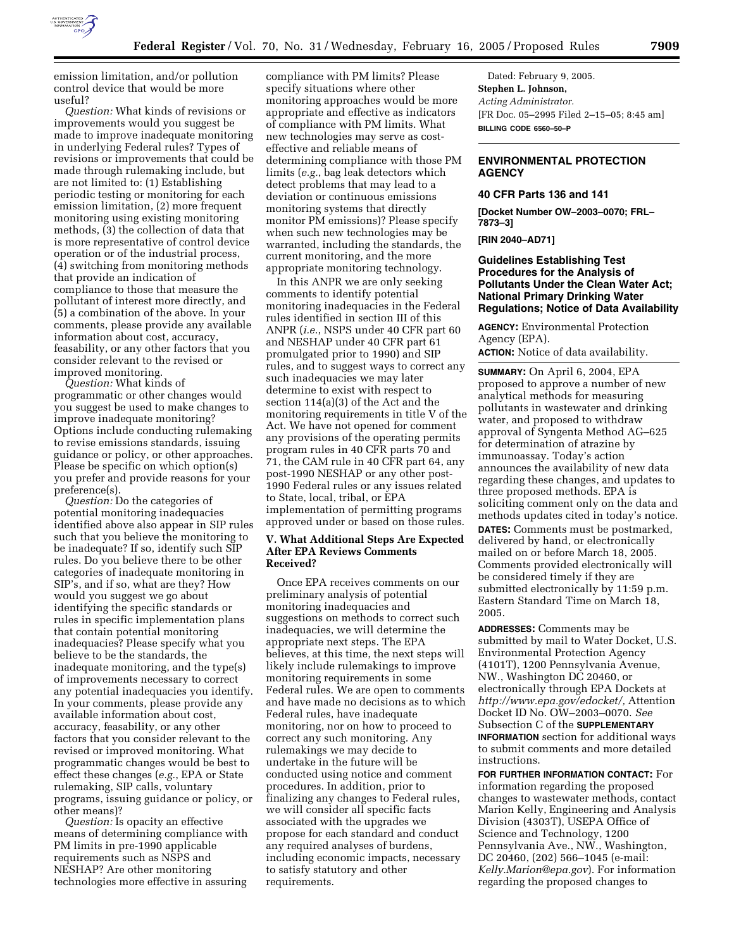

emission limitation, and/or pollution control device that would be more useful?

*Question:* What kinds of revisions or improvements would you suggest be made to improve inadequate monitoring in underlying Federal rules? Types of revisions or improvements that could be made through rulemaking include, but are not limited to: (1) Establishing periodic testing or monitoring for each emission limitation, (2) more frequent monitoring using existing monitoring methods, (3) the collection of data that is more representative of control device operation or of the industrial process, (4) switching from monitoring methods that provide an indication of compliance to those that measure the pollutant of interest more directly, and (5) a combination of the above. In your comments, please provide any available information about cost, accuracy, feasability, or any other factors that you consider relevant to the revised or improved monitoring.

*Question:* What kinds of programmatic or other changes would you suggest be used to make changes to improve inadequate monitoring? Options include conducting rulemaking to revise emissions standards, issuing guidance or policy, or other approaches. Please be specific on which option(s) you prefer and provide reasons for your preference(s).

*Question:* Do the categories of potential monitoring inadequacies identified above also appear in SIP rules such that you believe the monitoring to be inadequate? If so, identify such SIP rules. Do you believe there to be other categories of inadequate monitoring in SIP's, and if so, what are they? How would you suggest we go about identifying the specific standards or rules in specific implementation plans that contain potential monitoring inadequacies? Please specify what you believe to be the standards, the inadequate monitoring, and the type(s) of improvements necessary to correct any potential inadequacies you identify. In your comments, please provide any available information about cost, accuracy, feasability, or any other factors that you consider relevant to the revised or improved monitoring. What programmatic changes would be best to effect these changes (*e.g.*, EPA or State rulemaking, SIP calls, voluntary programs, issuing guidance or policy, or other means)?

*Question:* Is opacity an effective means of determining compliance with PM limits in pre-1990 applicable requirements such as NSPS and NESHAP? Are other monitoring technologies more effective in assuring

compliance with PM limits? Please specify situations where other monitoring approaches would be more appropriate and effective as indicators of compliance with PM limits. What new technologies may serve as costeffective and reliable means of determining compliance with those PM limits (*e.g.*, bag leak detectors which detect problems that may lead to a deviation or continuous emissions monitoring systems that directly monitor PM emissions)? Please specify when such new technologies may be warranted, including the standards, the current monitoring, and the more appropriate monitoring technology.

In this ANPR we are only seeking comments to identify potential monitoring inadequacies in the Federal rules identified in section III of this ANPR (*i.e.*, NSPS under 40 CFR part 60 and NESHAP under 40 CFR part 61 promulgated prior to 1990) and SIP rules, and to suggest ways to correct any such inadequacies we may later determine to exist with respect to section 114(a)(3) of the Act and the monitoring requirements in title V of the Act. We have not opened for comment any provisions of the operating permits program rules in 40 CFR parts 70 and 71, the CAM rule in 40 CFR part 64, any post-1990 NESHAP or any other post-1990 Federal rules or any issues related to State, local, tribal, or EPA implementation of permitting programs approved under or based on those rules.

#### **V. What Additional Steps Are Expected After EPA Reviews Comments Received?**

Once EPA receives comments on our preliminary analysis of potential monitoring inadequacies and suggestions on methods to correct such inadequacies, we will determine the appropriate next steps. The EPA believes, at this time, the next steps will likely include rulemakings to improve monitoring requirements in some Federal rules. We are open to comments and have made no decisions as to which Federal rules, have inadequate monitoring, nor on how to proceed to correct any such monitoring. Any rulemakings we may decide to undertake in the future will be conducted using notice and comment procedures. In addition, prior to finalizing any changes to Federal rules, we will consider all specific facts associated with the upgrades we propose for each standard and conduct any required analyses of burdens, including economic impacts, necessary to satisfy statutory and other requirements.

Dated: February 9, 2005. **Stephen L. Johnson,**  *Acting Administrator.* [FR Doc. 05–2995 Filed 2–15–05; 8:45 am] **BILLING CODE 6560–50–P**

### **ENVIRONMENTAL PROTECTION AGENCY**

# **40 CFR Parts 136 and 141**

**[Docket Number OW–2003–0070; FRL– 7873–3]** 

**[RIN 2040–AD71]** 

# **Guidelines Establishing Test Procedures for the Analysis of Pollutants Under the Clean Water Act; National Primary Drinking Water Regulations; Notice of Data Availability**

**AGENCY:** Environmental Protection Agency (EPA).

**ACTION:** Notice of data availability.

**SUMMARY:** On April 6, 2004, EPA proposed to approve a number of new analytical methods for measuring pollutants in wastewater and drinking water, and proposed to withdraw approval of Syngenta Method AG–625 for determination of atrazine by immunoassay. Today's action announces the availability of new data regarding these changes, and updates to three proposed methods. EPA is soliciting comment only on the data and methods updates cited in today's notice. **DATES:** Comments must be postmarked, delivered by hand, or electronically mailed on or before March 18, 2005. Comments provided electronically will be considered timely if they are submitted electronically by 11:59 p.m. Eastern Standard Time on March 18, 2005.

**ADDRESSES:** Comments may be submitted by mail to Water Docket, U.S. Environmental Protection Agency (4101T), 1200 Pennsylvania Avenue, NW., Washington DC 20460, or electronically through EPA Dockets at *http://www.epa.gov/edocket/,* Attention Docket ID No. OW–2003–0070. *See* Subsection C of the **SUPPLEMENTARY INFORMATION** section for additional ways to submit comments and more detailed instructions.

**FOR FURTHER INFORMATION CONTACT:** For information regarding the proposed changes to wastewater methods, contact Marion Kelly, Engineering and Analysis Division (4303T), USEPA Office of Science and Technology, 1200 Pennsylvania Ave., NW., Washington, DC 20460, (202) 566–1045 (e-mail: *Kelly.Marion@epa.gov*). For information regarding the proposed changes to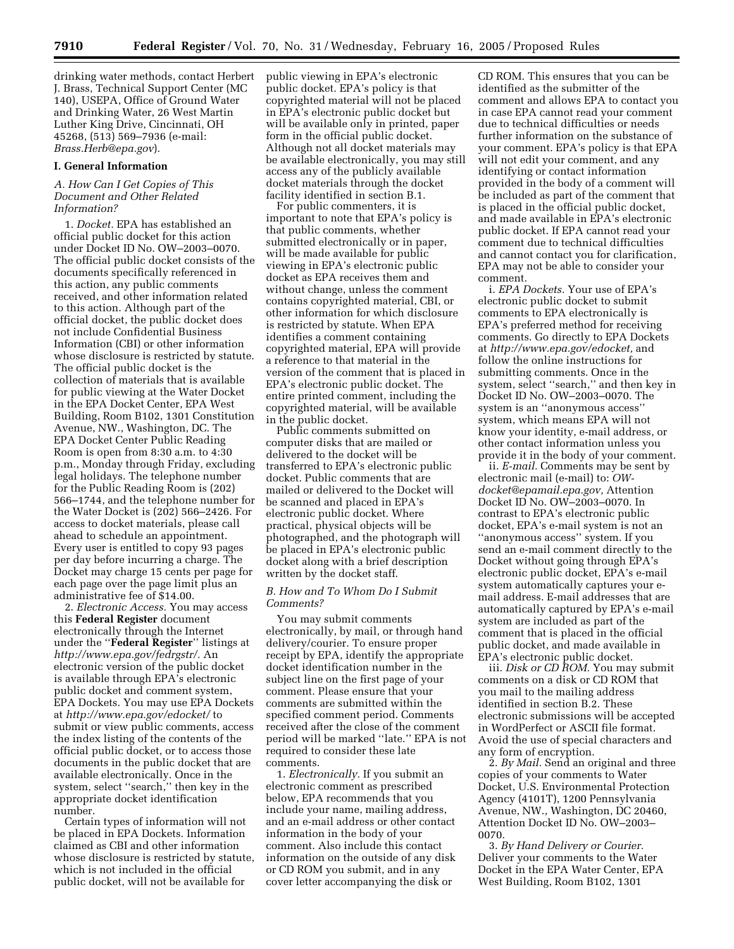drinking water methods, contact Herbert J. Brass, Technical Support Center (MC 140), USEPA, Office of Ground Water and Drinking Water, 26 West Martin Luther King Drive, Cincinnati, OH 45268, (513) 569–7936 (e-mail: *Brass.Herb@epa.gov*).

### **I. General Information**

# *A. How Can I Get Copies of This Document and Other Related Information?*

1. *Docket.* EPA has established an official public docket for this action under Docket ID No. OW–2003–0070. The official public docket consists of the documents specifically referenced in this action, any public comments received, and other information related to this action. Although part of the official docket, the public docket does not include Confidential Business Information (CBI) or other information whose disclosure is restricted by statute. The official public docket is the collection of materials that is available for public viewing at the Water Docket in the EPA Docket Center, EPA West Building, Room B102, 1301 Constitution Avenue, NW., Washington, DC. The EPA Docket Center Public Reading Room is open from 8:30 a.m. to 4:30 p.m., Monday through Friday, excluding legal holidays. The telephone number for the Public Reading Room is (202) 566–1744, and the telephone number for the Water Docket is (202) 566–2426. For access to docket materials, please call ahead to schedule an appointment. Every user is entitled to copy 93 pages per day before incurring a charge. The Docket may charge 15 cents per page for each page over the page limit plus an administrative fee of \$14.00.

2. *Electronic Access.* You may access this **Federal Register** document electronically through the Internet under the ''**Federal Register**'' listings at *http://www.epa.gov/fedrgstr/.* An electronic version of the public docket is available through EPA's electronic public docket and comment system, EPA Dockets. You may use EPA Dockets at *http://www.epa.gov/edocket/* to submit or view public comments, access the index listing of the contents of the official public docket, or to access those documents in the public docket that are available electronically. Once in the system, select ''search,'' then key in the appropriate docket identification number.

Certain types of information will not be placed in EPA Dockets. Information claimed as CBI and other information whose disclosure is restricted by statute, which is not included in the official public docket, will not be available for

public viewing in EPA's electronic public docket. EPA's policy is that copyrighted material will not be placed in EPA's electronic public docket but will be available only in printed, paper form in the official public docket. Although not all docket materials may be available electronically, you may still access any of the publicly available docket materials through the docket facility identified in section B.1.

For public commenters, it is important to note that EPA's policy is that public comments, whether submitted electronically or in paper, will be made available for public viewing in EPA's electronic public docket as EPA receives them and without change, unless the comment contains copyrighted material, CBI, or other information for which disclosure is restricted by statute. When EPA identifies a comment containing copyrighted material, EPA will provide a reference to that material in the version of the comment that is placed in EPA's electronic public docket. The entire printed comment, including the copyrighted material, will be available in the public docket.

Public comments submitted on computer disks that are mailed or delivered to the docket will be transferred to EPA's electronic public docket. Public comments that are mailed or delivered to the Docket will be scanned and placed in EPA's electronic public docket. Where practical, physical objects will be photographed, and the photograph will be placed in EPA's electronic public docket along with a brief description written by the docket staff.

# *B. How and To Whom Do I Submit Comments?*

You may submit comments electronically, by mail, or through hand delivery/courier. To ensure proper receipt by EPA, identify the appropriate docket identification number in the subject line on the first page of your comment. Please ensure that your comments are submitted within the specified comment period. Comments received after the close of the comment period will be marked ''late.'' EPA is not required to consider these late comments.

1. *Electronically.* If you submit an electronic comment as prescribed below, EPA recommends that you include your name, mailing address, and an e-mail address or other contact information in the body of your comment. Also include this contact information on the outside of any disk or CD ROM you submit, and in any cover letter accompanying the disk or

CD ROM. This ensures that you can be identified as the submitter of the comment and allows EPA to contact you in case EPA cannot read your comment due to technical difficulties or needs further information on the substance of your comment. EPA's policy is that EPA will not edit your comment, and any identifying or contact information provided in the body of a comment will be included as part of the comment that is placed in the official public docket, and made available in EPA's electronic public docket. If EPA cannot read your comment due to technical difficulties and cannot contact you for clarification, EPA may not be able to consider your comment.

i. *EPA Dockets.* Your use of EPA's electronic public docket to submit comments to EPA electronically is EPA's preferred method for receiving comments. Go directly to EPA Dockets at *http://www.epa.gov/edocket,* and follow the online instructions for submitting comments. Once in the system, select ''search,'' and then key in Docket ID No. OW–2003–0070. The system is an ''anonymous access'' system, which means EPA will not know your identity, e-mail address, or other contact information unless you provide it in the body of your comment.

ii. *E-mail.* Comments may be sent by electronic mail (e-mail) to: *OWdocket@epamail.epa.gov,* Attention Docket ID No. OW–2003–0070. In contrast to EPA's electronic public docket, EPA's e-mail system is not an ''anonymous access'' system. If you send an e-mail comment directly to the Docket without going through EPA's electronic public docket, EPA's e-mail system automatically captures your email address. E-mail addresses that are automatically captured by EPA's e-mail system are included as part of the comment that is placed in the official public docket, and made available in EPA's electronic public docket.

iii. *Disk or CD ROM.* You may submit comments on a disk or CD ROM that you mail to the mailing address identified in section B.2. These electronic submissions will be accepted in WordPerfect or ASCII file format. Avoid the use of special characters and any form of encryption.

2. *By Mail.* Send an original and three copies of your comments to Water Docket, U.S. Environmental Protection Agency (4101T), 1200 Pennsylvania Avenue, NW., Washington, DC 20460, Attention Docket ID No. OW–2003– 0070.

3. *By Hand Delivery or Courier.* Deliver your comments to the Water Docket in the EPA Water Center, EPA West Building, Room B102, 1301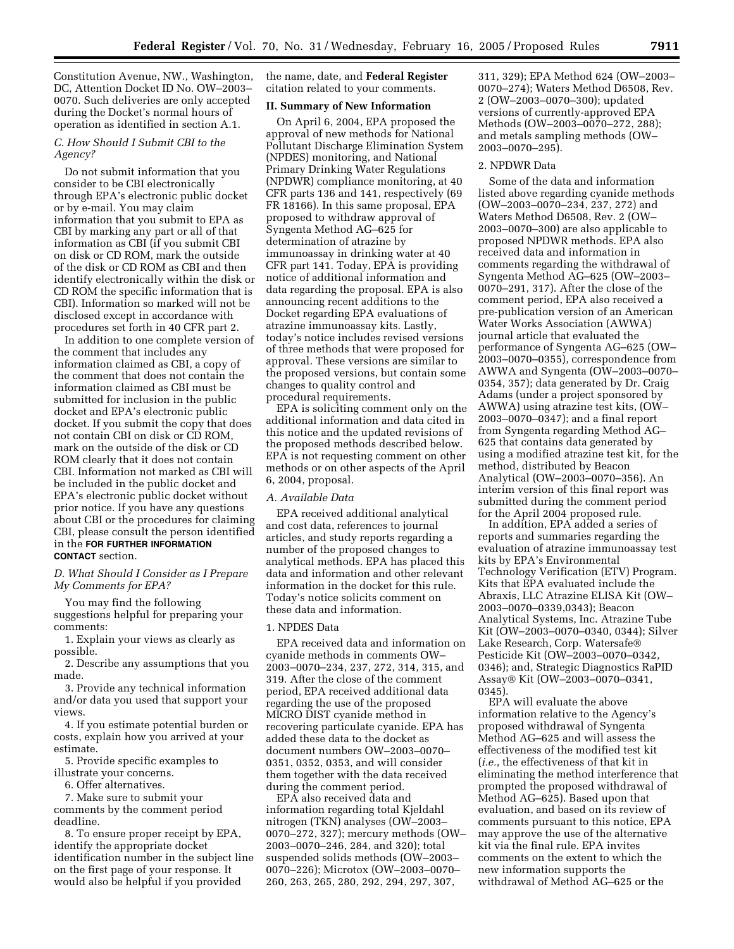Constitution Avenue, NW., Washington, DC, Attention Docket ID No. OW–2003– 0070. Such deliveries are only accepted during the Docket's normal hours of operation as identified in section A.1.

# *C. How Should I Submit CBI to the Agency?*

Do not submit information that you consider to be CBI electronically through EPA's electronic public docket or by e-mail. You may claim information that you submit to EPA as CBI by marking any part or all of that information as CBI (if you submit CBI on disk or CD ROM, mark the outside of the disk or CD ROM as CBI and then identify electronically within the disk or CD ROM the specific information that is CBI). Information so marked will not be disclosed except in accordance with procedures set forth in 40 CFR part 2.

In addition to one complete version of the comment that includes any information claimed as CBI, a copy of the comment that does not contain the information claimed as CBI must be submitted for inclusion in the public docket and EPA's electronic public docket. If you submit the copy that does not contain CBI on disk or CD ROM, mark on the outside of the disk or CD ROM clearly that it does not contain CBI. Information not marked as CBI will be included in the public docket and EPA's electronic public docket without prior notice. If you have any questions about CBI or the procedures for claiming CBI, please consult the person identified in the **FOR FURTHER INFORMATION CONTACT** section.

# *D. What Should I Consider as I Prepare My Comments for EPA?*

You may find the following suggestions helpful for preparing your comments:

1. Explain your views as clearly as possible.

2. Describe any assumptions that you made.

3. Provide any technical information and/or data you used that support your views.

4. If you estimate potential burden or costs, explain how you arrived at your estimate.

5. Provide specific examples to illustrate your concerns.

6. Offer alternatives.

7. Make sure to submit your comments by the comment period deadline.

8. To ensure proper receipt by EPA, identify the appropriate docket identification number in the subject line on the first page of your response. It would also be helpful if you provided

the name, date, and **Federal Register** citation related to your comments.

#### **II. Summary of New Information**

On April 6, 2004, EPA proposed the approval of new methods for National Pollutant Discharge Elimination System (NPDES) monitoring, and National Primary Drinking Water Regulations (NPDWR) compliance monitoring, at 40 CFR parts 136 and 141, respectively (69 FR 18166). In this same proposal, EPA proposed to withdraw approval of Syngenta Method AG–625 for determination of atrazine by immunoassay in drinking water at 40 CFR part 141. Today, EPA is providing notice of additional information and data regarding the proposal. EPA is also announcing recent additions to the Docket regarding EPA evaluations of atrazine immunoassay kits. Lastly, today's notice includes revised versions of three methods that were proposed for approval. These versions are similar to the proposed versions, but contain some changes to quality control and procedural requirements.

EPA is soliciting comment only on the additional information and data cited in this notice and the updated revisions of the proposed methods described below. EPA is not requesting comment on other methods or on other aspects of the April 6, 2004, proposal.

### *A. Available Data*

EPA received additional analytical and cost data, references to journal articles, and study reports regarding a number of the proposed changes to analytical methods. EPA has placed this data and information and other relevant information in the docket for this rule. Today's notice solicits comment on these data and information.

### 1. NPDES Data

EPA received data and information on cyanide methods in comments OW– 2003–0070–234, 237, 272, 314, 315, and 319. After the close of the comment period, EPA received additional data regarding the use of the proposed MICRO DIST cyanide method in recovering particulate cyanide. EPA has added these data to the docket as document numbers OW–2003–0070– 0351, 0352, 0353, and will consider them together with the data received during the comment period.

EPA also received data and information regarding total Kjeldahl nitrogen (TKN) analyses (OW–2003– 0070–272, 327); mercury methods (OW– 2003–0070–246, 284, and 320); total suspended solids methods (OW–2003– 0070–226); Microtox (OW–2003–0070– 260, 263, 265, 280, 292, 294, 297, 307,

311, 329); EPA Method 624 (OW–2003– 0070–274); Waters Method D6508, Rev. 2 (OW–2003–0070–300); updated versions of currently-approved EPA Methods (OW-2003-0070-272, 288); and metals sampling methods (OW– 2003–0070–295).

## 2. NPDWR Data

Some of the data and information listed above regarding cyanide methods (OW–2003–0070–234, 237, 272) and Waters Method D6508, Rev. 2 (OW– 2003–0070–300) are also applicable to proposed NPDWR methods. EPA also received data and information in comments regarding the withdrawal of Syngenta Method AG–625 (OW–2003– 0070–291, 317). After the close of the comment period, EPA also received a pre-publication version of an American Water Works Association (AWWA) journal article that evaluated the performance of Syngenta AG–625 (OW– 2003–0070–0355), correspondence from AWWA and Syngenta (OW–2003–0070– 0354, 357); data generated by Dr. Craig Adams (under a project sponsored by AWWA) using atrazine test kits, (OW– 2003–0070–0347); and a final report from Syngenta regarding Method AG– 625 that contains data generated by using a modified atrazine test kit, for the method, distributed by Beacon Analytical (OW–2003–0070–356). An interim version of this final report was submitted during the comment period for the April 2004 proposed rule.

In addition, EPA added a series of reports and summaries regarding the evaluation of atrazine immunoassay test kits by EPA's Environmental Technology Verification (ETV) Program. Kits that EPA evaluated include the Abraxis, LLC Atrazine ELISA Kit (OW– 2003–0070–0339,0343); Beacon Analytical Systems, Inc. Atrazine Tube Kit (OW–2003–0070–0340, 0344); Silver Lake Research, Corp. Watersafe Pesticide Kit (OW–2003–0070–0342, 0346); and, Strategic Diagnostics RaPID Assay & Kit (OW-2003-0070-0341, 0345).

EPA will evaluate the above information relative to the Agency's proposed withdrawal of Syngenta Method AG–625 and will assess the effectiveness of the modified test kit (*i.e.*, the effectiveness of that kit in eliminating the method interference that prompted the proposed withdrawal of Method AG–625). Based upon that evaluation, and based on its review of comments pursuant to this notice, EPA may approve the use of the alternative kit via the final rule. EPA invites comments on the extent to which the new information supports the withdrawal of Method AG–625 or the